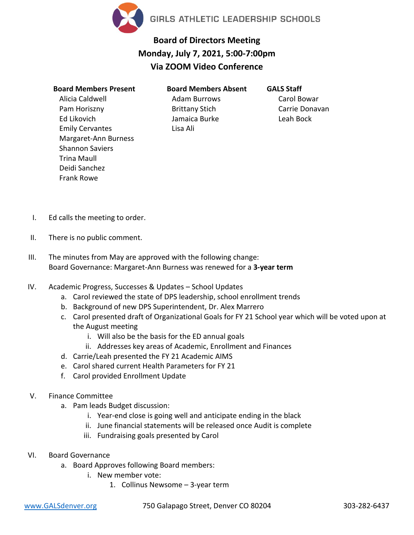

## **Board of Directors Meeting Monday, July 7, 2021, 5:00-7:00pm Via ZOOM Video Conference**

## **Board Members Present**

Alicia Caldwell Pam Horiszny Ed Likovich Emily Cervantes Margaret-Ann Burness Shannon Saviers Trina Maull Deidi Sanchez Frank Rowe

**Board Members Absent** Adam Burrows Brittany Stich Jamaica Burke Lisa Ali

**GALS Staff** Carol Bowar Carrie Donavan Leah Bock

- I. Ed calls the meeting to order.
- II. There is no public comment.
- III. The minutes from May are approved with the following change: Board Governance: Margaret-Ann Burness was renewed for a **3-year term**
- IV. Academic Progress, Successes & Updates School Updates
	- a. Carol reviewed the state of DPS leadership, school enrollment trends
	- b. Background of new DPS Superintendent, Dr. Alex Marrero
	- c. Carol presented draft of Organizational Goals for FY 21 School year which will be voted upon at the August meeting
		- i. Will also be the basis for the ED annual goals
		- ii. Addresses key areas of Academic, Enrollment and Finances
	- d. Carrie/Leah presented the FY 21 Academic AIMS
	- e. Carol shared current Health Parameters for FY 21
	- f. Carol provided Enrollment Update
- V. Finance Committee
	- a. Pam leads Budget discussion:
		- i. Year-end close is going well and anticipate ending in the black
		- ii. June financial statements will be released once Audit is complete
		- iii. Fundraising goals presented by Carol
- VI. Board Governance
	- a. Board Approves following Board members:
		- i. New member vote:
			- 1. Collinus Newsome 3-year term